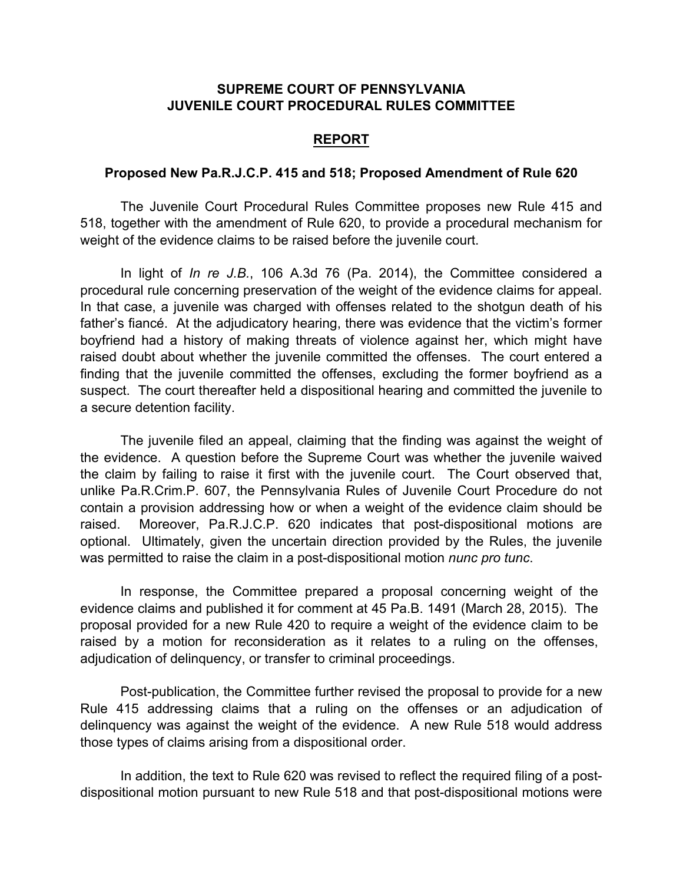## **SUPREME COURT OF PENNSYLVANIA JUVENILE COURT PROCEDURAL RULES COMMITTEE**

## **REPORT**

## **Proposed New Pa.R.J.C.P. 415 and 518; Proposed Amendment of Rule 620**

The Juvenile Court Procedural Rules Committee proposes new Rule 415 and 518, together with the amendment of Rule 620, to provide a procedural mechanism for weight of the evidence claims to be raised before the juvenile court.

In light of *In re J.B.*, 106 A.3d 76 (Pa. 2014), the Committee considered a procedural rule concerning preservation of the weight of the evidence claims for appeal. In that case, a juvenile was charged with offenses related to the shotgun death of his father's fiancé. At the adjudicatory hearing, there was evidence that the victim's former boyfriend had a history of making threats of violence against her, which might have raised doubt about whether the juvenile committed the offenses. The court entered a finding that the juvenile committed the offenses, excluding the former boyfriend as a suspect. The court thereafter held a dispositional hearing and committed the juvenile to a secure detention facility.

The juvenile filed an appeal, claiming that the finding was against the weight of the evidence. A question before the Supreme Court was whether the juvenile waived the claim by failing to raise it first with the juvenile court. The Court observed that, unlike Pa.R.Crim.P. 607, the Pennsylvania Rules of Juvenile Court Procedure do not contain a provision addressing how or when a weight of the evidence claim should be raised. Moreover, Pa.R.J.C.P. 620 indicates that post-dispositional motions are optional. Ultimately, given the uncertain direction provided by the Rules, the juvenile was permitted to raise the claim in a post-dispositional motion *nunc pro tunc*.

In response, the Committee prepared a proposal concerning weight of the evidence claims and published it for comment at 45 Pa.B. 1491 (March 28, 2015). The proposal provided for a new Rule 420 to require a weight of the evidence claim to be raised by a motion for reconsideration as it relates to a ruling on the offenses, adjudication of delinquency, or transfer to criminal proceedings.

Post-publication, the Committee further revised the proposal to provide for a new Rule 415 addressing claims that a ruling on the offenses or an adjudication of delinquency was against the weight of the evidence. A new Rule 518 would address those types of claims arising from a dispositional order.

In addition, the text to Rule 620 was revised to reflect the required filing of a postdispositional motion pursuant to new Rule 518 and that post-dispositional motions were